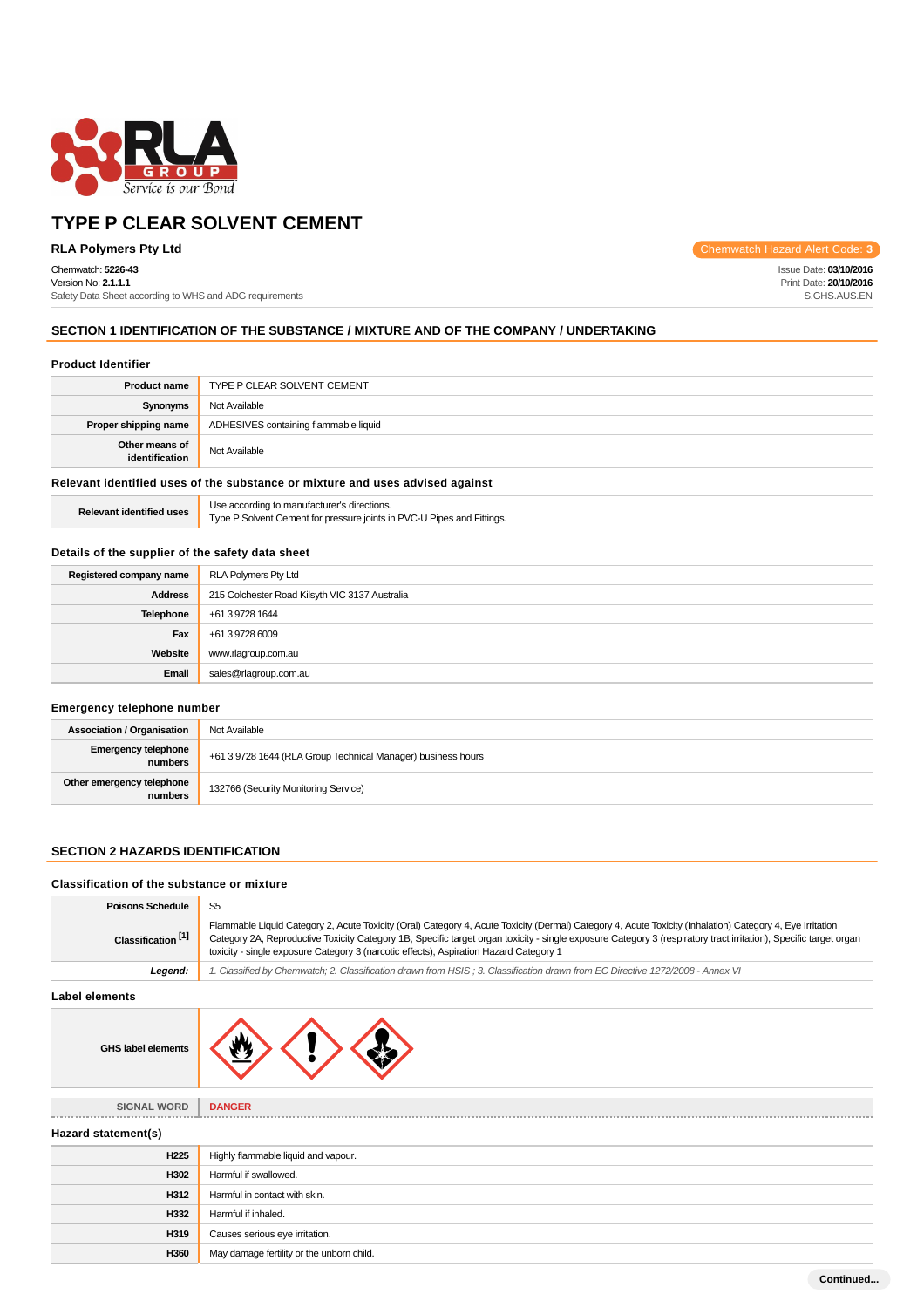

Chemwatch: **5226-43**

Version No: **2.1.1.1** Safety Data Sheet according to WHS and ADG requirements

**RLA Polymers Pty Ltd** Chemwatch Hazard Alert Code: 3

Issue Date: **03/10/2016** Print Date: **20/10/2016** S.GHS.AUS.EN

### **SECTION 1 IDENTIFICATION OF THE SUBSTANCE / MIXTURE AND OF THE COMPANY / UNDERTAKING**

#### **Product Identifier**

| TYPE P CLEAR SOLVENT CEMENT                                                   |  |
|-------------------------------------------------------------------------------|--|
| Not Available                                                                 |  |
| ADHESIVES containing flammable liquid                                         |  |
| Not Available                                                                 |  |
| Relevant identified uses of the substance or mixture and uses advised against |  |
|                                                                               |  |

**Relevant identified uses** Use according to manufacturer's directions. Type P Solvent Cement for pressure joints in PVC-U Pipes and Fittings.

### **Details of the supplier of the safety data sheet**

| Registered company name | RLA Polymers Pty Ltd                           |
|-------------------------|------------------------------------------------|
| <b>Address</b>          | 215 Colchester Road Kilsyth VIC 3137 Australia |
| <b>Telephone</b>        | +61 3 9728 1644                                |
| Fax                     | +61 3 9728 6009                                |
| Website                 | www.rlagroup.com.au                            |
| Email                   | sales@rlagroup.com.au                          |

### **Emergency telephone number**

| <b>Association / Organisation</b>     | Not Available                                                |
|---------------------------------------|--------------------------------------------------------------|
| <b>Emergency telephone</b><br>numbers | +61 3 9728 1644 (RLA Group Technical Manager) business hours |
| Other emergency telephone<br>numbers  | 132766 (Security Monitoring Service)                         |

#### **SECTION 2 HAZARDS IDENTIFICATION**

#### **Classification of the substance or mixture**

| <b>Poisons Schedule</b>       | S <sub>5</sub>                                                                                                                                                                                                                                                                                                                                                                                                           |  |
|-------------------------------|--------------------------------------------------------------------------------------------------------------------------------------------------------------------------------------------------------------------------------------------------------------------------------------------------------------------------------------------------------------------------------------------------------------------------|--|
| Classification <sup>[1]</sup> | Flammable Liquid Category 2, Acute Toxicity (Oral) Category 4, Acute Toxicity (Dermal) Category 4, Acute Toxicity (Inhalation) Category 4, Eye Irritation<br>Category 2A, Reproductive Toxicity Category 1B, Specific target organ toxicity - single exposure Category 3 (respiratory tract irritation), Specific target organ<br>toxicity - single exposure Category 3 (narcotic effects), Aspiration Hazard Category 1 |  |
| Legend:                       | 1. Classified by Chemwatch; 2. Classification drawn from HSIS; 3. Classification drawn from EC Directive 1272/2008 - Annex VI                                                                                                                                                                                                                                                                                            |  |
| <b>Label elements</b>         |                                                                                                                                                                                                                                                                                                                                                                                                                          |  |
| <b>GHS label elements</b>     |                                                                                                                                                                                                                                                                                                                                                                                                                          |  |
| SIGNAL WORD                   | <b>DANGER</b>                                                                                                                                                                                                                                                                                                                                                                                                            |  |
| Hazard statement(s)           |                                                                                                                                                                                                                                                                                                                                                                                                                          |  |
| H <sub>225</sub>              | Highly flammable liquid and vapour.                                                                                                                                                                                                                                                                                                                                                                                      |  |
| H302                          | Harmful if swallowed.                                                                                                                                                                                                                                                                                                                                                                                                    |  |
| H312                          | Harmful in contact with skin.                                                                                                                                                                                                                                                                                                                                                                                            |  |
| H332                          | Harmful if inhaled.                                                                                                                                                                                                                                                                                                                                                                                                      |  |
| H319                          | Causes serious eye irritation.                                                                                                                                                                                                                                                                                                                                                                                           |  |
| H360                          | May damage fertility or the unborn child.                                                                                                                                                                                                                                                                                                                                                                                |  |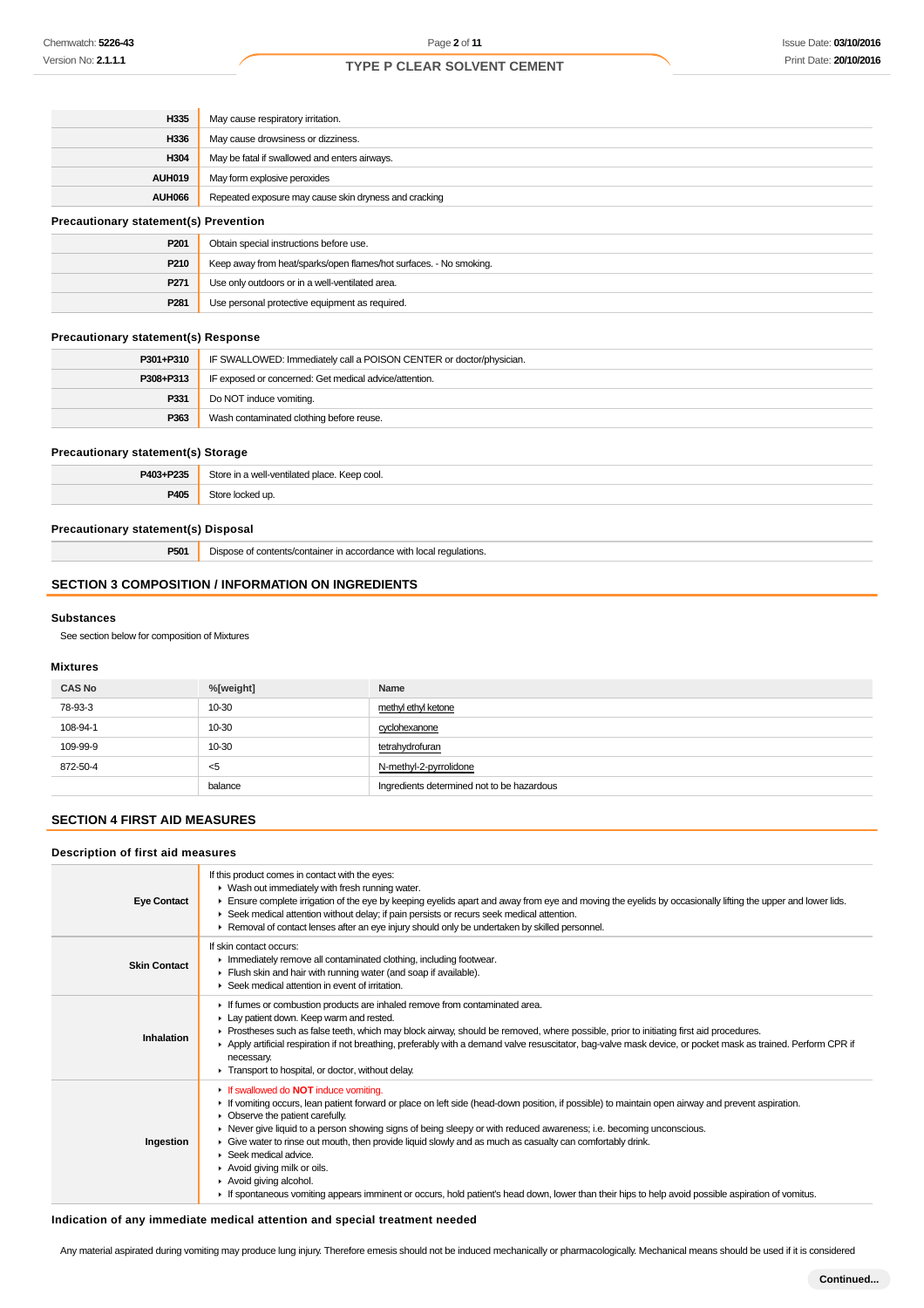| H335                                         | May cause respiratory irritation.                                  |  |
|----------------------------------------------|--------------------------------------------------------------------|--|
| H336                                         | May cause drowsiness or dizziness.                                 |  |
| H304                                         | May be fatal if swallowed and enters airways.                      |  |
| <b>AUH019</b>                                | May form explosive peroxides                                       |  |
| <b>AUH066</b>                                | Repeated exposure may cause skin dryness and cracking              |  |
| <b>Precautionary statement(s) Prevention</b> |                                                                    |  |
| P201                                         | Obtain special instructions before use.                            |  |
| P210                                         | Keep away from heat/sparks/open flames/hot surfaces. - No smoking. |  |
| P271                                         | Use only outdoors or in a well-ventilated area.                    |  |
| P281                                         | Use personal protective equipment as required.                     |  |

### **Precautionary statement(s) Response**

| P301+P310 | IF SWALLOWED: Immediately call a POISON CENTER or doctor/physician. |
|-----------|---------------------------------------------------------------------|
| P308+P313 | IF exposed or concerned: Get medical advice/attention.              |
| P331      | Do NOT induce vomiting.                                             |
| P363      | Wash contaminated clothing before reuse.                            |

#### **Precautionary statement(s) Storage**

| P403+P235 | Store in a well-ventilated place. Keep cool. |
|-----------|----------------------------------------------|
| P405      | 2toro<br>e locked ur                         |

### **Precautionary statement(s) Disposal**

**P501** Dispose of contents/container in accordance with local regulations.

#### **SECTION 3 COMPOSITION / INFORMATION ON INGREDIENTS**

#### **Substances**

See section below for composition of Mixtures

#### **Mixtures**

| <b>CAS No</b> | %[weight] | Name                                       |
|---------------|-----------|--------------------------------------------|
| 78-93-3       | $10 - 30$ | methyl ethyl ketone                        |
| 108-94-1      | 10-30     | cyclohexanone                              |
| 109-99-9      | $10 - 30$ | tetrahydrofuran                            |
| 872-50-4      | - <5      | N-methyl-2-pyrrolidone                     |
|               | balance   | Ingredients determined not to be hazardous |

#### **SECTION 4 FIRST AID MEASURES**

#### **Description of first aid measures**

| <b>Eye Contact</b>  | If this product comes in contact with the eyes:<br>▶ Wash out immediately with fresh running water.<br>Ensure complete irrigation of the eye by keeping eyelids apart and away from eye and moving the eyelids by occasionally lifting the upper and lower lids.<br>► Seek medical attention without delay; if pain persists or recurs seek medical attention.<br>► Removal of contact lenses after an eye injury should only be undertaken by skilled personnel.                                                                                                                                                                                                                                                                    |
|---------------------|--------------------------------------------------------------------------------------------------------------------------------------------------------------------------------------------------------------------------------------------------------------------------------------------------------------------------------------------------------------------------------------------------------------------------------------------------------------------------------------------------------------------------------------------------------------------------------------------------------------------------------------------------------------------------------------------------------------------------------------|
| <b>Skin Contact</b> | If skin contact occurs:<br>Inmediately remove all contaminated clothing, including footwear.<br>Flush skin and hair with running water (and soap if available).<br>▶ Seek medical attention in event of irritation.                                                                                                                                                                                                                                                                                                                                                                                                                                                                                                                  |
| Inhalation          | If fumes or combustion products are inhaled remove from contaminated area.<br>Lay patient down. Keep warm and rested.<br>► Prostheses such as false teeth, which may block airway, should be removed, where possible, prior to initiating first aid procedures.<br>▶ Apply artificial respiration if not breathing, preferably with a demand valve resuscitator, bag-valve mask device, or pocket mask as trained. Perform CPR if<br>necessary.<br>Transport to hospital, or doctor, without delay.                                                                                                                                                                                                                                  |
| Ingestion           | If swallowed do <b>NOT</b> induce vomiting.<br>If vomiting occurs, lean patient forward or place on left side (head-down position, if possible) to maintain open airway and prevent aspiration.<br>• Observe the patient carefully.<br>► Never give liquid to a person showing signs of being sleepy or with reduced awareness; i.e. becoming unconscious.<br>• Give water to rinse out mouth, then provide liquid slowly and as much as casualty can comfortably drink.<br>$\blacktriangleright$ Seek medical advice.<br>▶ Avoid giving milk or oils.<br>Avoid giving alcohol.<br>If spontaneous vomiting appears imminent or occurs, hold patient's head down, lower than their hips to help avoid possible aspiration of vomitus. |

#### **Indication of any immediate medical attention and special treatment needed**

Any material aspirated during vomiting may produce lung injury. Therefore emesis should not be induced mechanically or pharmacologically. Mechanical means should be used if it is considered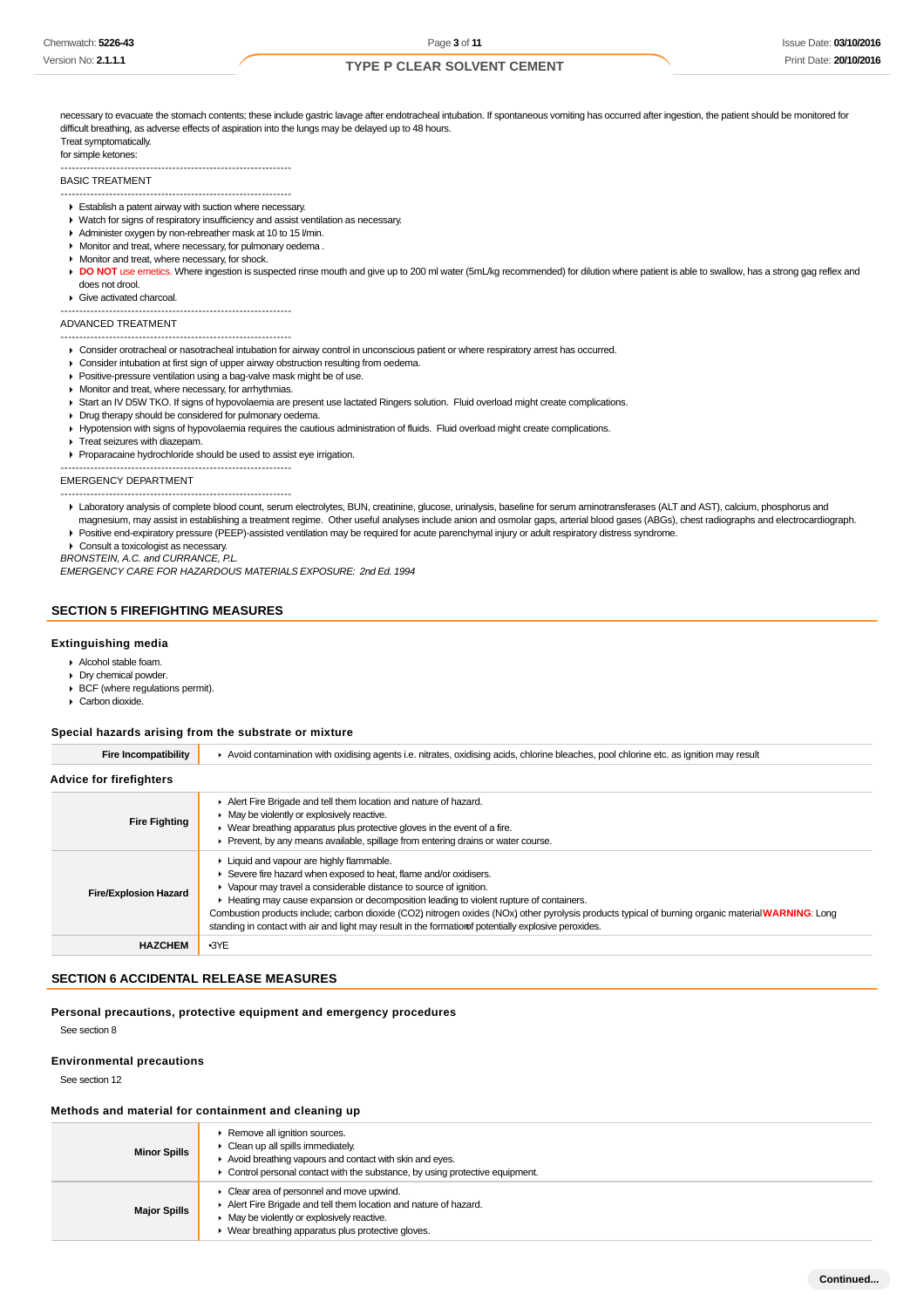necessary to evacuate the stomach contents; these include gastric lavage after endotracheal intubation. If spontaneous vomiting has occurred after ingestion, the patient should be monitored for difficult breathing, as adverse effects of aspiration into the lungs may be delayed up to 48 hours. Treat symptomatically.

#### for simple ketones:

-------------------------------------------------------------- BASIC TREATMENT

--------------------------------------------------------------

- Establish a patent airway with suction where necessary.
- Watch for signs of respiratory insufficiency and assist ventilation as necessary.
- Administer oxygen by non-rebreather mask at 10 to 15 l/min.
- Monitor and treat, where necessary, for pulmonary oedema.
- **Monitor and treat, where necessary, for shock.**

DO NOT use emetics. Where ingestion is suspected rinse mouth and give up to 200 ml water (5mL/kg recommended) for dilution where patient is able to swallow, has a strong gag reflex and does not drool.

Give activated charcoal.

-------------------------------------------------------------- --------------------------------------------------------------

ADVANCED TREATMENT

- Consider orotracheal or nasotracheal intubation for airway control in unconscious patient or where respiratory arrest has occurred.
- Consider intubation at first sign of upper airway obstruction resulting from oedema.
- **Positive-pressure ventilation using a bag-valve mask might be of use.**
- **Monitor and treat, where necessary, for arrhythmias.**
- Start an IV D5W TKO. If signs of hypovolaemia are present use lactated Ringers solution. Fluid overload might create complications.
- Drug therapy should be considered for pulmonary oedema.
- Hypotension with signs of hypovolaemia requires the cautious administration of fluids. Fluid overload might create complications.
- **Treat seizures with diazepam.**

Proparacaine hydrochloride should be used to assist eye irrigation.

--------------------------------------------------------------

#### EMERGENCY DEPARTMENT --------------------------------------------------------------

- Laboratory analysis of complete blood count, serum electrolytes, BUN, creatinine, glucose, urinalysis, baseline for serum aminotransferases (ALT and AST), calcium, phosphorus and magnesium, may assist in establishing a treatment regime. Other useful analyses include anion and osmolar gaps, arterial blood gases (ABGs), chest radiographs and electrocardiograph.
- Positive end-expiratory pressure (PEEP)-assisted ventilation may be required for acute parenchymal injury or adult respiratory distress syndrome.

▶ Consult a toxicologist as necessary.

BRONSTEIN, A.C. and CURRANCE, P.L.

EMERGENCY CARE FOR HAZARDOUS MATERIALS EXPOSURE: 2nd Ed. 1994

#### **SECTION 5 FIREFIGHTING MEASURES**

#### **Extinguishing media**

- Alcohol stable foam.
- Dry chemical powder.
- **BCF** (where regulations permit).
- Carbon dioxide.

#### **Special hazards arising from the substrate or mixture**

| <b>Fire Incompatibility</b>  | Avoid contamination with oxidising agents i.e. nitrates, oxidising acids, chlorine bleaches, pool chlorine etc. as ignition may result                                                                                                                                                                                                                                                                                                                                                                                                       |  |  |
|------------------------------|----------------------------------------------------------------------------------------------------------------------------------------------------------------------------------------------------------------------------------------------------------------------------------------------------------------------------------------------------------------------------------------------------------------------------------------------------------------------------------------------------------------------------------------------|--|--|
| Advice for firefighters      |                                                                                                                                                                                                                                                                                                                                                                                                                                                                                                                                              |  |  |
| <b>Fire Fighting</b>         | Alert Fire Brigade and tell them location and nature of hazard.<br>• May be violently or explosively reactive.<br>• Wear breathing apparatus plus protective gloves in the event of a fire.<br>• Prevent, by any means available, spillage from entering drains or water course.                                                                                                                                                                                                                                                             |  |  |
| <b>Fire/Explosion Hazard</b> | Eliquid and vapour are highly flammable.<br>Severe fire hazard when exposed to heat, flame and/or oxidisers.<br>• Vapour may travel a considerable distance to source of ignition.<br>E Heating may cause expansion or decomposition leading to violent rupture of containers.<br>Combustion products include; carbon dioxide (CO2) nitrogen oxides (NOx) other pyrolysis products typical of burning organic material WARNING: Long<br>standing in contact with air and light may result in the formation fpotentially explosive peroxides. |  |  |
| <b>HAZCHEM</b>               | $-3YE$                                                                                                                                                                                                                                                                                                                                                                                                                                                                                                                                       |  |  |

### **SECTION 6 ACCIDENTAL RELEASE MEASURES**

**Personal precautions, protective equipment and emergency procedures**

See section 8

#### **Environmental precautions**

See section 12

#### **Methods and material for containment and cleaning up**

| <b>Minor Spills</b> | ▶ Remove all ignition sources.<br>• Clean up all spills immediately.<br>Avoid breathing vapours and contact with skin and eyes.<br>• Control personal contact with the substance, by using protective equipment.                                      |
|---------------------|-------------------------------------------------------------------------------------------------------------------------------------------------------------------------------------------------------------------------------------------------------|
| <b>Major Spills</b> | $\triangleright$ Clear area of personnel and move upwind.<br>Alert Fire Brigade and tell them location and nature of hazard.<br>$\blacktriangleright$ May be violently or explosively reactive.<br>• Wear breathing apparatus plus protective gloves. |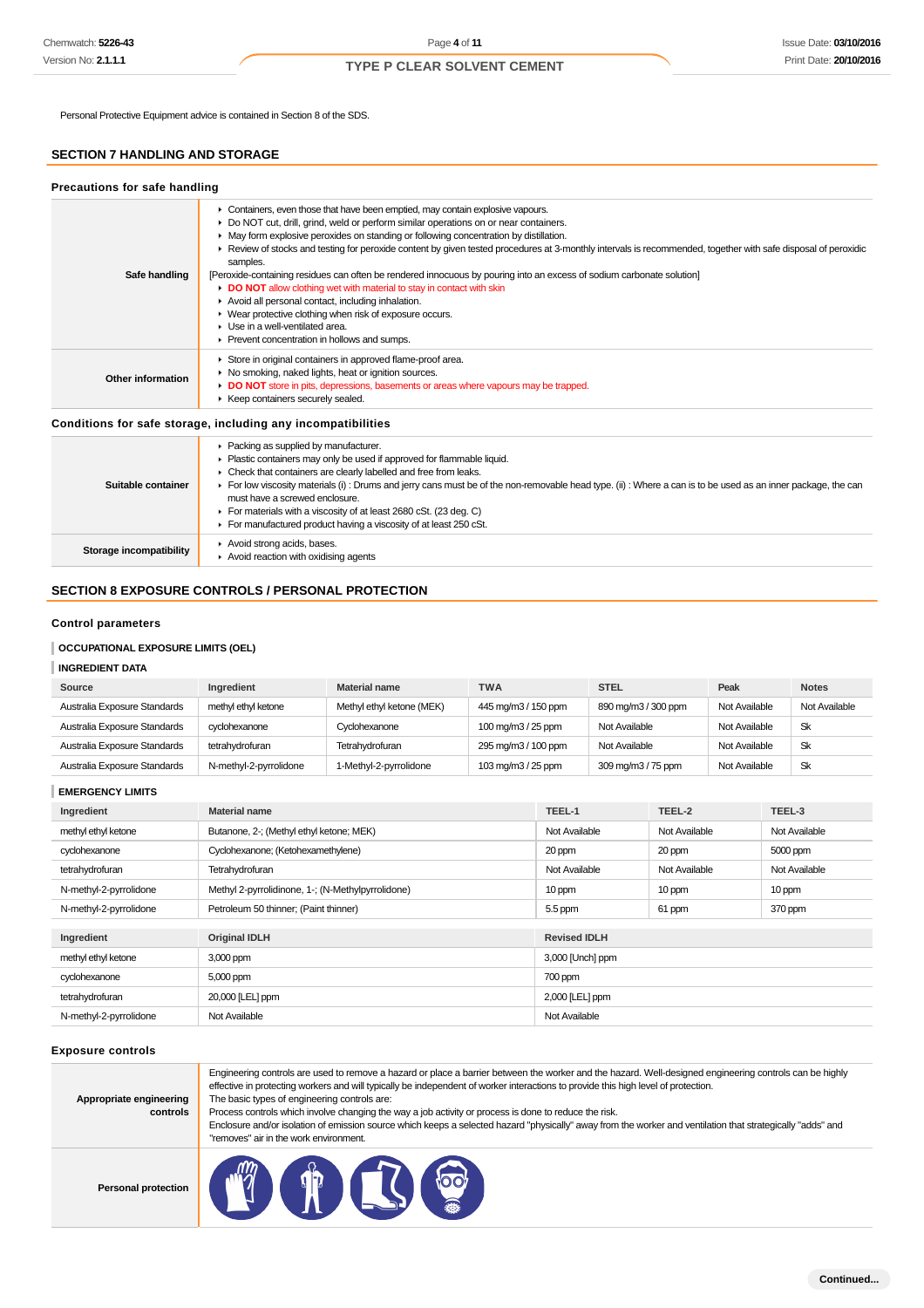Personal Protective Equipment advice is contained in Section 8 of the SDS.

### **SECTION 7 HANDLING AND STORAGE**

| Precautions for safe handling |                                                                                                                                                                                                                                                                                                                                                                                                                                                                                                                                                                                                                                                                                                                                                                                                                                                                           |
|-------------------------------|---------------------------------------------------------------------------------------------------------------------------------------------------------------------------------------------------------------------------------------------------------------------------------------------------------------------------------------------------------------------------------------------------------------------------------------------------------------------------------------------------------------------------------------------------------------------------------------------------------------------------------------------------------------------------------------------------------------------------------------------------------------------------------------------------------------------------------------------------------------------------|
| Safe handling                 | Containers, even those that have been emptied, may contain explosive vapours.<br>► Do NOT cut, drill, grind, weld or perform similar operations on or near containers.<br>• May form explosive peroxides on standing or following concentration by distillation.<br>► Review of stocks and testing for peroxide content by given tested procedures at 3-monthly intervals is recommended, together with safe disposal of peroxidic<br>samples.<br>[Peroxide-containing residues can often be rendered innocuous by pouring into an excess of sodium carbonate solution]<br>DO NOT allow clothing wet with material to stay in contact with skin<br>Avoid all personal contact, including inhalation.<br>▶ Wear protective clothing when risk of exposure occurs.<br>$\blacktriangleright$ Use in a well-ventilated area.<br>▶ Prevent concentration in hollows and sumps. |
| Other information             | Store in original containers in approved flame-proof area.<br>▶ No smoking, naked lights, heat or ignition sources.<br>• DO NOT store in pits, depressions, basements or areas where vapours may be trapped.<br>▶ Keep containers securely sealed.                                                                                                                                                                                                                                                                                                                                                                                                                                                                                                                                                                                                                        |
|                               | Conditions for safe storage, including any incompatibilities                                                                                                                                                                                                                                                                                                                                                                                                                                                                                                                                                                                                                                                                                                                                                                                                              |
| Suitable container            | • Packing as supplied by manufacturer.<br>Plastic containers may only be used if approved for flammable liquid.<br>• Check that containers are clearly labelled and free from leaks.<br>For low viscosity materials (i): Drums and jerry cans must be of the non-removable head type. (ii): Where a can is to be used as an inner package, the can<br>must have a screwed enclosure.                                                                                                                                                                                                                                                                                                                                                                                                                                                                                      |

- For materials with a viscosity of at least 2680 cSt. (23 deg. C) For manufactured product having a viscosity of at least 250 cSt.
- **Storage incompatibility Avoid strong acids, bases.**

Avoid reaction with oxidising agents

### **SECTION 8 EXPOSURE CONTROLS / PERSONAL PROTECTION**

### **Control parameters**

#### **OCCUPATIONAL EXPOSURE LIMITS (OEL)**

#### **INGREDIENT DATA**

| Source                       | Ingredient             | <b>Material name</b>      | <b>TWA</b>          | <b>STEL</b>         | Peak          | <b>Notes</b>  |
|------------------------------|------------------------|---------------------------|---------------------|---------------------|---------------|---------------|
| Australia Exposure Standards | methyl ethyl ketone    | Methyl ethyl ketone (MEK) | 445 mg/m3 / 150 ppm | 890 mg/m3 / 300 ppm | Not Available | Not Available |
| Australia Exposure Standards | cvclohexanone          | Cyclohexanone             | 100 mg/m3 / 25 ppm  | Not Available       | Not Available | Sk            |
| Australia Exposure Standards | tetrahydrofuran        | Tetrahydrofuran           | 295 mg/m3 / 100 ppm | Not Available       | Not Available | Sk            |
| Australia Exposure Standards | N-methyl-2-pyrrolidone | 1-Methyl-2-pyrrolidone    | 103 mg/m3 / 25 ppm  | 309 mg/m3 / 75 ppm  | Not Available | Sk            |

**EMERGENCY LIMITS**

| Ingredient             | <b>Material name</b>                              | TEEL-1              | TEEL-2        | TEEL-3        |
|------------------------|---------------------------------------------------|---------------------|---------------|---------------|
| methyl ethyl ketone    | Butanone, 2-; (Methyl ethyl ketone; MEK)          | Not Available       | Not Available | Not Available |
| cyclohexanone          | Cyclohexanone; (Ketohexamethylene)                | 20 ppm              | 20 ppm        | 5000 ppm      |
| tetrahydrofuran        | Tetrahydrofuran                                   | Not Available       | Not Available | Not Available |
| N-methyl-2-pyrrolidone | Methyl 2-pyrrolidinone, 1-; (N-Methylpyrrolidone) | 10 ppm              | 10 ppm        | 10 ppm        |
| N-methyl-2-pyrrolidone | Petroleum 50 thinner; (Paint thinner)             | 5.5 ppm             | 61 ppm        | 370 ppm       |
|                        |                                                   |                     |               |               |
| Ingredient             | <b>Original IDLH</b>                              | <b>Revised IDLH</b> |               |               |
| methyl ethyl ketone    | 3,000 ppm                                         | 3,000 [Unch] ppm    |               |               |
| cyclohexanone          | 5,000 ppm                                         | 700 ppm             |               |               |
| tetrahydrofuran        | 20,000 [LEL] ppm                                  | 2,000 [LEL] ppm     |               |               |
| N-methyl-2-pyrrolidone | Not Available                                     | Not Available       |               |               |

#### **Exposure controls**

| Appropriate engineering<br>controls | Engineering controls are used to remove a hazard or place a barrier between the worker and the hazard. Well-designed engineering controls can be highly<br>effective in protecting workers and will typically be independent of worker interactions to provide this high level of protection.<br>The basic types of engineering controls are:<br>Process controls which involve changing the way a job activity or process is done to reduce the risk.<br>Enclosure and/or isolation of emission source which keeps a selected hazard "physically" away from the worker and ventilation that strategically "adds" and<br>"removes" air in the work environment. |
|-------------------------------------|-----------------------------------------------------------------------------------------------------------------------------------------------------------------------------------------------------------------------------------------------------------------------------------------------------------------------------------------------------------------------------------------------------------------------------------------------------------------------------------------------------------------------------------------------------------------------------------------------------------------------------------------------------------------|
| <b>Personal protection</b>          |                                                                                                                                                                                                                                                                                                                                                                                                                                                                                                                                                                                                                                                                 |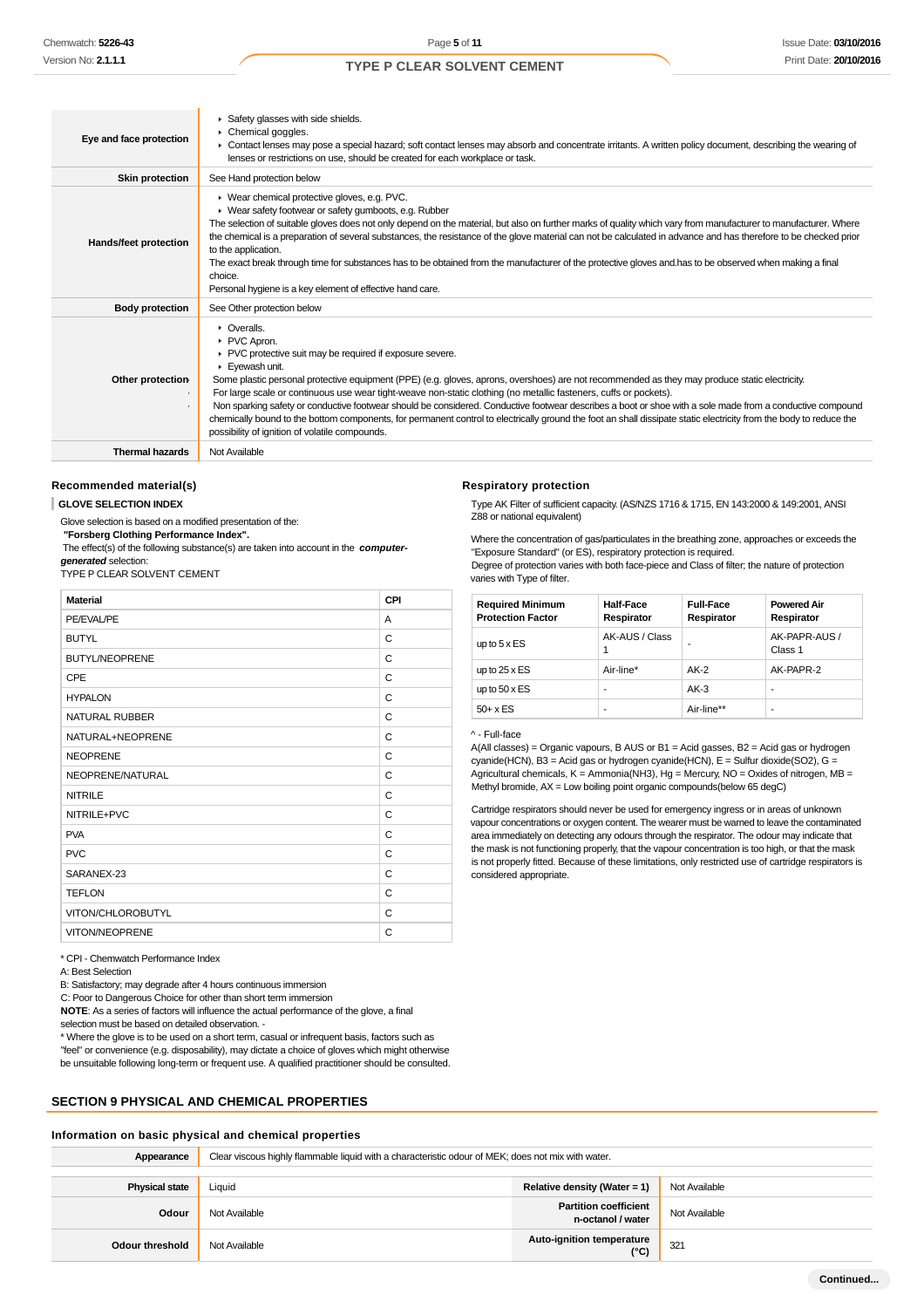| Eye and face protection      | Safety glasses with side shields.<br>Chemical goggles.<br>▶ Contact lenses may pose a special hazard; soft contact lenses may absorb and concentrate irritants. A written policy document, describing the wearing of<br>lenses or restrictions on use, should be created for each workplace or task.                                                                                                                                                                                                                                                                                                                                                                                                                                                                              |
|------------------------------|-----------------------------------------------------------------------------------------------------------------------------------------------------------------------------------------------------------------------------------------------------------------------------------------------------------------------------------------------------------------------------------------------------------------------------------------------------------------------------------------------------------------------------------------------------------------------------------------------------------------------------------------------------------------------------------------------------------------------------------------------------------------------------------|
| <b>Skin protection</b>       | See Hand protection below                                                                                                                                                                                                                                                                                                                                                                                                                                                                                                                                                                                                                                                                                                                                                         |
| <b>Hands/feet protection</b> | ▶ Wear chemical protective gloves, e.g. PVC.<br>• Wear safety footwear or safety gumboots, e.g. Rubber<br>The selection of suitable gloves does not only depend on the material, but also on further marks of quality which vary from manufacturer to manufacturer. Where<br>the chemical is a preparation of several substances, the resistance of the glove material can not be calculated in advance and has therefore to be checked prior<br>to the application.<br>The exact break through time for substances has to be obtained from the manufacturer of the protective gloves and has to be observed when making a final<br>choice.<br>Personal hygiene is a key element of effective hand care.                                                                          |
| <b>Body protection</b>       | See Other protection below                                                                                                                                                                                                                                                                                                                                                                                                                                                                                                                                                                                                                                                                                                                                                        |
| Other protection-<br>٠       | $\triangleright$ Overalls.<br>PVC Apron.<br>▶ PVC protective suit may be required if exposure severe.<br>Eyewash unit.<br>Some plastic personal protective equipment (PPE) (e.g. gloves, aprons, overshoes) are not recommended as they may produce static electricity.<br>For large scale or continuous use wear tight-weave non-static clothing (no metallic fasteners, cuffs or pockets).<br>Non sparking safety or conductive footwear should be considered. Conductive footwear describes a boot or shoe with a sole made from a conductive compound<br>chemically bound to the bottom components, for permanent control to electrically ground the foot an shall dissipate static electricity from the body to reduce the<br>possibility of ignition of volatile compounds. |
| <b>Thermal hazards</b>       | Not Available                                                                                                                                                                                                                                                                                                                                                                                                                                                                                                                                                                                                                                                                                                                                                                     |

#### **Recommended material(s)**

#### **GLOVE SELECTION INDEX**

Glove selection is based on a modified presentation of the:

 **"Forsberg Clothing Performance Index".** The effect(s) of the following substance(s) are taken into account in the **computer-**

**generated** selection:

TYPE P CLEAR SOLVENT CEMENT

| <b>Material</b>       | CPI |
|-----------------------|-----|
| PE/EVAL/PE            | A   |
| <b>BUTYL</b>          | C   |
| <b>BUTYL/NEOPRENE</b> | C   |
| CPE                   | C   |
| <b>HYPALON</b>        | C   |
| <b>NATURAL RUBBER</b> | C   |
| NATURAL+NEOPRENE      | C   |
| <b>NEOPRENE</b>       | C   |
| NEOPRENE/NATURAL      | C   |
| <b>NITRILE</b>        | C   |
| NITRILE+PVC           | C   |
| <b>PVA</b>            | С   |
| <b>PVC</b>            | С   |
| SARANEX-23            | C   |
| <b>TEFLON</b>         | C   |
| VITON/CHLOROBUTYL     | C   |
| VITON/NEOPRENE        | C   |

#### **Respiratory protection**

Type AK Filter of sufficient capacity. (AS/NZS 1716 & 1715, EN 143:2000 & 149:2001, ANSI Z88 or national equivalent)

Where the concentration of gas/particulates in the breathing zone, approaches or exceeds the "Exposure Standard" (or ES), respiratory protection is required. Degree of protection varies with both face-piece and Class of filter; the nature of protection varies with Type of filter.

| <b>Required Minimum</b><br><b>Protection Factor</b> | <b>Half-Face</b><br>Respirator | <b>Full-Face</b><br>Respirator | <b>Powered Air</b><br>Respirator |
|-----------------------------------------------------|--------------------------------|--------------------------------|----------------------------------|
| up to $5 \times ES$                                 | AK-AUS / Class                 |                                | AK-PAPR-AUS /<br>Class 1         |
| up to $25 \times ES$                                | Air-line*                      | $AK-2$                         | AK-PAPR-2                        |
| up to $50 \times ES$                                | -                              | $AK-3$                         |                                  |
| $50+ x ES$                                          | -                              | Air-line**                     | ۰                                |

#### ^ - Full-face

A(All classes) = Organic vapours, B AUS or B1 = Acid gasses, B2 = Acid gas or hydrogen cyanide(HCN), B3 = Acid gas or hydrogen cyanide(HCN), E = Sulfur dioxide(SO2), G = Agricultural chemicals, K = Ammonia(NH3), Hg = Mercury, NO = Oxides of nitrogen, MB = Methyl bromide, AX = Low boiling point organic compounds(below 65 degC)

Cartridge respirators should never be used for emergency ingress or in areas of unknown vapour concentrations or oxygen content. The wearer must be warned to leave the contaminated area immediately on detecting any odours through the respirator. The odour may indicate that the mask is not functioning properly, that the vapour concentration is too high, or that the mask is not properly fitted. Because of these limitations, only restricted use of cartridge respirators is considered appropriate.

\* CPI - Chemwatch Performance Index

A: Best Selection

B: Satisfactory; may degrade after 4 hours continuous immersion

C: Poor to Dangerous Choice for other than short term immersion

**NOTE**: As a series of factors will influence the actual performance of the glove, a final selection must be based on detailed observation. -

\* Where the glove is to be used on a short term, casual or infrequent basis, factors such as "feel" or convenience (e.g. disposability), may dictate a choice of gloves which might otherwise be unsuitable following long-term or frequent use. A qualified practitioner should be consulted.

#### **SECTION 9 PHYSICAL AND CHEMICAL PROPERTIES**

### **Information on basic physical and chemical properties**

| Appearance             | Clear viscous highly flammable liquid with a characteristic odour of MEK; does not mix with water. |                                            |               |
|------------------------|----------------------------------------------------------------------------------------------------|--------------------------------------------|---------------|
| <b>Physical state</b>  | Liquid                                                                                             | Relative density (Water = 1)               | Not Available |
| Odour                  | Not Available                                                                                      | Partition coefficient<br>n-octanol / water | Not Available |
| <b>Odour threshold</b> | Not Available                                                                                      | Auto-ignition temperature<br>$(^{\circ}C)$ | $32^{\circ}$  |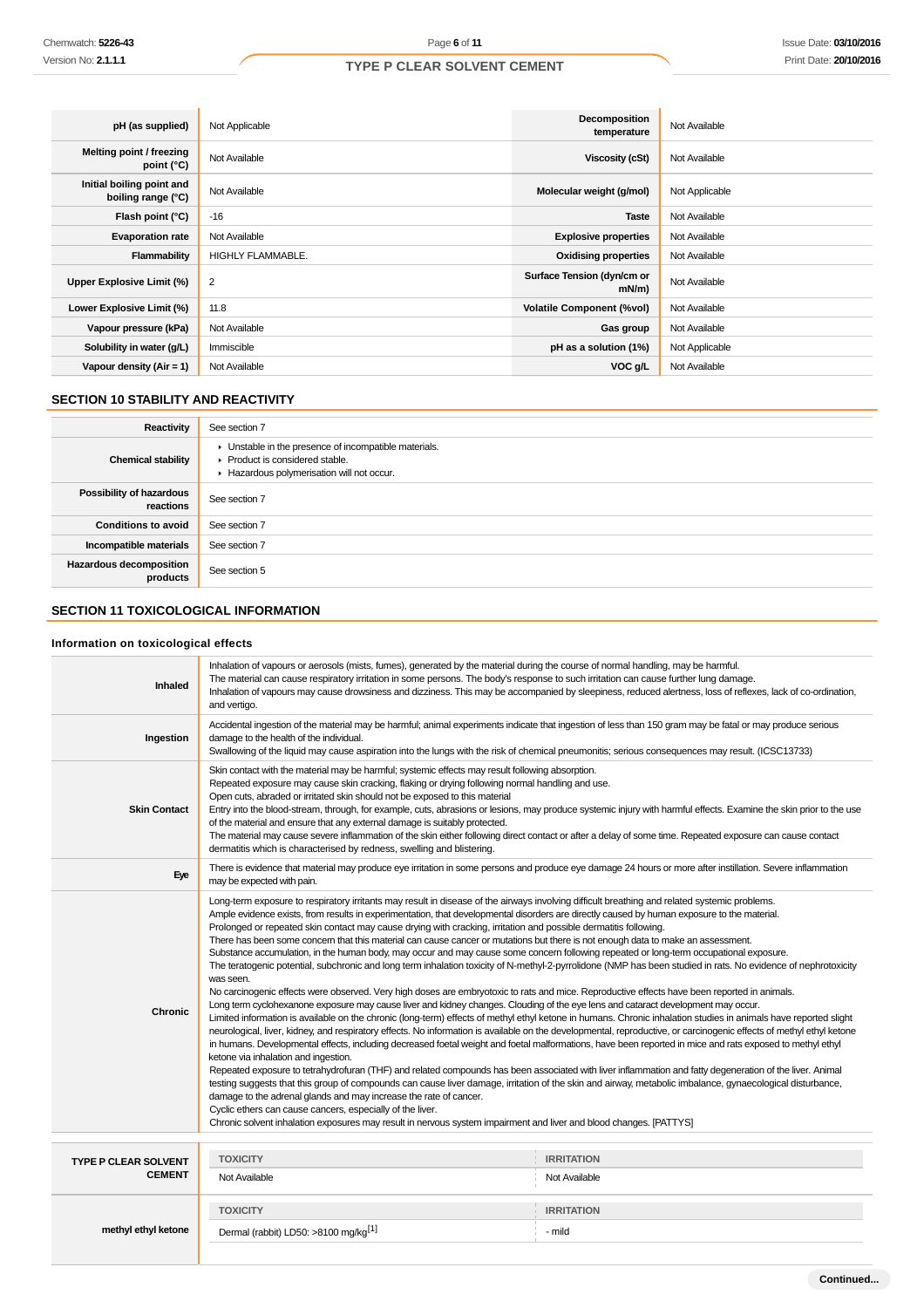| pH (as supplied)                                | Not Applicable    | <b>Decomposition</b><br>temperature    | Not Available  |
|-------------------------------------------------|-------------------|----------------------------------------|----------------|
| Melting point / freezing<br>point $(^{\circ}C)$ | Not Available     | Viscosity (cSt)                        | Not Available  |
| Initial boiling point and<br>boiling range (°C) | Not Available     | Molecular weight (g/mol)               | Not Applicable |
| Flash point (°C)                                | $-16$             | <b>Taste</b>                           | Not Available  |
| <b>Evaporation rate</b>                         | Not Available     | <b>Explosive properties</b>            | Not Available  |
| Flammability                                    | HIGHLY FLAMMABLE. | <b>Oxidising properties</b>            | Not Available  |
| Upper Explosive Limit (%)                       | 2                 | Surface Tension (dyn/cm or<br>$mN/m$ ) | Not Available  |
| Lower Explosive Limit (%)                       | 11.8              | <b>Volatile Component (%vol)</b>       | Not Available  |
| Vapour pressure (kPa)                           | Not Available     | Gas group                              | Not Available  |
| Solubility in water (g/L)                       | Immiscible        | pH as a solution (1%)                  | Not Applicable |
| Vapour density $(Air = 1)$                      | Not Available     | VOC g/L                                | Not Available  |

### **SECTION 10 STABILITY AND REACTIVITY**

| Reactivity                                 | See section 7                                                                                                                        |
|--------------------------------------------|--------------------------------------------------------------------------------------------------------------------------------------|
| <b>Chemical stability</b>                  | • Unstable in the presence of incompatible materials.<br>▶ Product is considered stable.<br>Hazardous polymerisation will not occur. |
| Possibility of hazardous<br>reactions      | See section 7                                                                                                                        |
| <b>Conditions to avoid</b>                 | See section 7                                                                                                                        |
| Incompatible materials                     | See section 7                                                                                                                        |
| <b>Hazardous decomposition</b><br>products | See section 5                                                                                                                        |

### **SECTION 11 TOXICOLOGICAL INFORMATION**

### **Information on toxicological effects**

| Inhaled                                      | Inhalation of vapours or aerosols (mists, fumes), generated by the material during the course of normal handling, may be harmful.<br>The material can cause respiratory irritation in some persons. The body's response to such irritation can cause further lung damage.<br>Inhalation of vapours may cause drowsiness and dizziness. This may be accompanied by sleepiness, reduced alertness, loss of reflexes, lack of co-ordination,<br>and vertigo.                                                                                                                                                                                                                                                                                                                                                                                                                                                                                                                                                                                                                                                                                                                                                                                                                                                                                                                                                                                                                                                                                                                                                                                                                                                                                                                                                                                                                                                                                                                                                                                                                                                                                                                                                                                                                                            |                                    |  |
|----------------------------------------------|------------------------------------------------------------------------------------------------------------------------------------------------------------------------------------------------------------------------------------------------------------------------------------------------------------------------------------------------------------------------------------------------------------------------------------------------------------------------------------------------------------------------------------------------------------------------------------------------------------------------------------------------------------------------------------------------------------------------------------------------------------------------------------------------------------------------------------------------------------------------------------------------------------------------------------------------------------------------------------------------------------------------------------------------------------------------------------------------------------------------------------------------------------------------------------------------------------------------------------------------------------------------------------------------------------------------------------------------------------------------------------------------------------------------------------------------------------------------------------------------------------------------------------------------------------------------------------------------------------------------------------------------------------------------------------------------------------------------------------------------------------------------------------------------------------------------------------------------------------------------------------------------------------------------------------------------------------------------------------------------------------------------------------------------------------------------------------------------------------------------------------------------------------------------------------------------------------------------------------------------------------------------------------------------------|------------------------------------|--|
| Ingestion                                    | Accidental ingestion of the material may be harmful; animal experiments indicate that ingestion of less than 150 gram may be fatal or may produce serious<br>damage to the health of the individual.<br>Swallowing of the liquid may cause aspiration into the lungs with the risk of chemical pneumonitis; serious consequences may result. (ICSC13733)                                                                                                                                                                                                                                                                                                                                                                                                                                                                                                                                                                                                                                                                                                                                                                                                                                                                                                                                                                                                                                                                                                                                                                                                                                                                                                                                                                                                                                                                                                                                                                                                                                                                                                                                                                                                                                                                                                                                             |                                    |  |
| <b>Skin Contact</b>                          | Skin contact with the material may be harmful; systemic effects may result following absorption.<br>Repeated exposure may cause skin cracking, flaking or drying following normal handling and use.<br>Open cuts, abraded or irritated skin should not be exposed to this material<br>Entry into the blood-stream, through, for example, cuts, abrasions or lesions, may produce systemic injury with harmful effects. Examine the skin prior to the use<br>of the material and ensure that any external damage is suitably protected.<br>The material may cause severe inflammation of the skin either following direct contact or after a delay of some time. Repeated exposure can cause contact<br>dermatitis which is characterised by redness, swelling and blistering.                                                                                                                                                                                                                                                                                                                                                                                                                                                                                                                                                                                                                                                                                                                                                                                                                                                                                                                                                                                                                                                                                                                                                                                                                                                                                                                                                                                                                                                                                                                        |                                    |  |
| Eye                                          | There is evidence that material may produce eye irritation in some persons and produce eye damage 24 hours or more after instillation. Severe inflammation<br>may be expected with pain.                                                                                                                                                                                                                                                                                                                                                                                                                                                                                                                                                                                                                                                                                                                                                                                                                                                                                                                                                                                                                                                                                                                                                                                                                                                                                                                                                                                                                                                                                                                                                                                                                                                                                                                                                                                                                                                                                                                                                                                                                                                                                                             |                                    |  |
| Chronic                                      | Long-term exposure to respiratory irritants may result in disease of the airways involving difficult breathing and related systemic problems.<br>Ample evidence exists, from results in experimentation, that developmental disorders are directly caused by human exposure to the material.<br>Prolonged or repeated skin contact may cause drying with cracking, irritation and possible dermatitis following.<br>There has been some concern that this material can cause cancer or mutations but there is not enough data to make an assessment.<br>Substance accumulation, in the human body, may occur and may cause some concern following repeated or long-term occupational exposure.<br>The teratogenic potential, subchronic and long term inhalation toxicity of N-methyl-2-pyrrolidone (NMP has been studied in rats. No evidence of nephrotoxicity<br>was seen.<br>No carcinogenic effects were observed. Very high doses are embryotoxic to rats and mice. Reproductive effects have been reported in animals.<br>Long term cyclohexanone exposure may cause liver and kidney changes. Clouding of the eye lens and cataract development may occur.<br>Limited information is available on the chronic (long-term) effects of methyl ethyl ketone in humans. Chronic inhalation studies in animals have reported slight<br>neurological, liver, kidney, and respiratory effects. No information is available on the developmental, reproductive, or carcinogenic effects of methyl ethyl ketone<br>in humans. Developmental effects, including decreased foetal weight and foetal malformations, have been reported in mice and rats exposed to methyl ethyl<br>ketone via inhalation and ingestion.<br>Repeated exposure to tetrahydrofuran (THF) and related compounds has been associated with liver inflammation and fatty degeneration of the liver. Animal<br>testing suggests that this group of compounds can cause liver damage, irritation of the skin and airway, metabolic imbalance, gynaecological disturbance,<br>damage to the adrenal glands and may increase the rate of cancer.<br>Cyclic ethers can cause cancers, especially of the liver.<br>Chronic solvent inhalation exposures may result in nervous system impairment and liver and blood changes. [PATTYS] |                                    |  |
| <b>TYPE P CLEAR SOLVENT</b><br><b>CEMENT</b> | <b>TOXICITY</b><br>Not Available                                                                                                                                                                                                                                                                                                                                                                                                                                                                                                                                                                                                                                                                                                                                                                                                                                                                                                                                                                                                                                                                                                                                                                                                                                                                                                                                                                                                                                                                                                                                                                                                                                                                                                                                                                                                                                                                                                                                                                                                                                                                                                                                                                                                                                                                     | <b>IRRITATION</b><br>Not Available |  |
| methyl ethyl ketone                          | <b>TOXICITY</b><br>Dermal (rabbit) LD50: >8100 mg/kg <sup>[1]</sup>                                                                                                                                                                                                                                                                                                                                                                                                                                                                                                                                                                                                                                                                                                                                                                                                                                                                                                                                                                                                                                                                                                                                                                                                                                                                                                                                                                                                                                                                                                                                                                                                                                                                                                                                                                                                                                                                                                                                                                                                                                                                                                                                                                                                                                  | <b>IRRITATION</b><br>- mild        |  |
|                                              |                                                                                                                                                                                                                                                                                                                                                                                                                                                                                                                                                                                                                                                                                                                                                                                                                                                                                                                                                                                                                                                                                                                                                                                                                                                                                                                                                                                                                                                                                                                                                                                                                                                                                                                                                                                                                                                                                                                                                                                                                                                                                                                                                                                                                                                                                                      |                                    |  |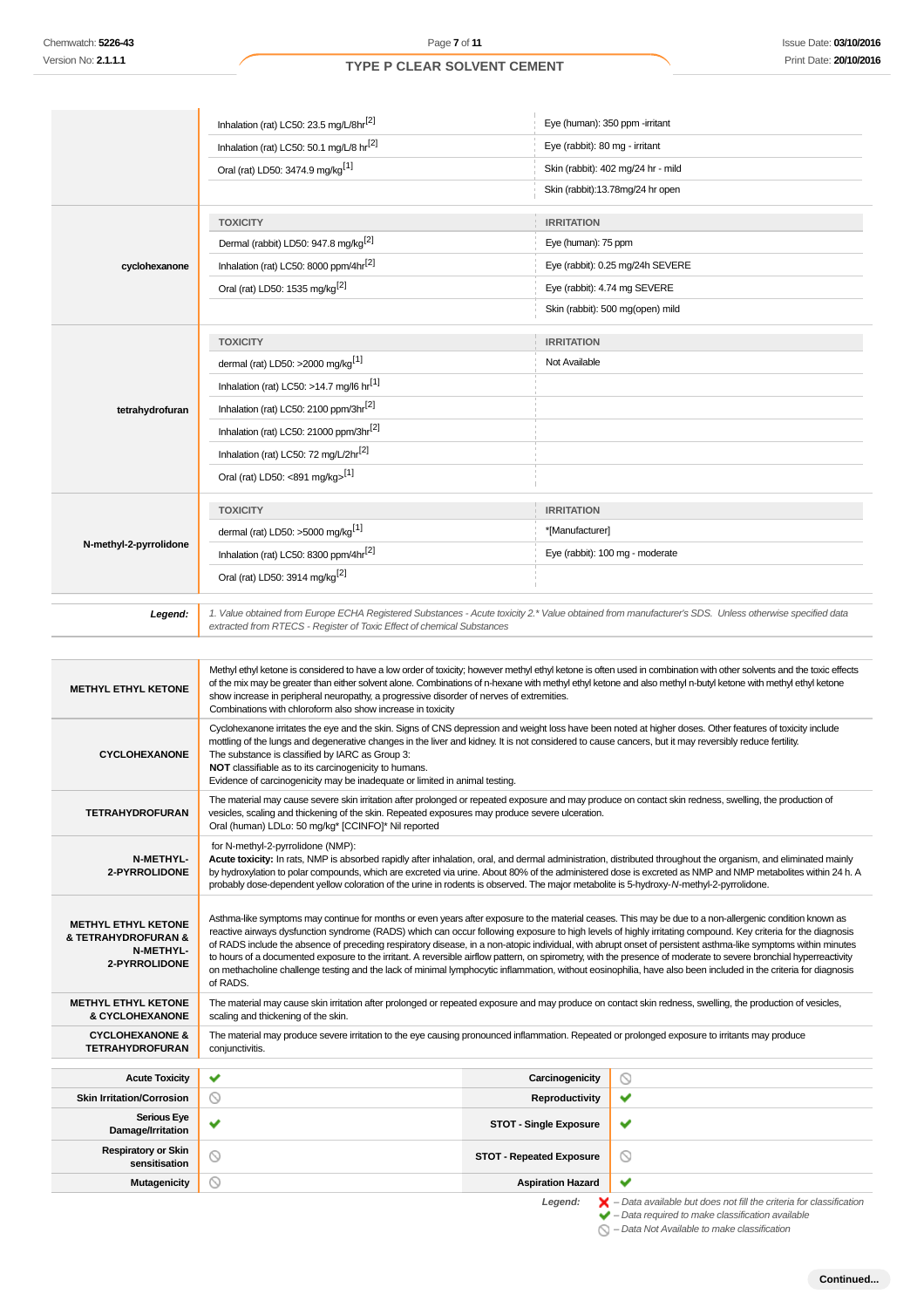|                                                                                        | Inhalation (rat) LC50: 23.5 mg/L/8hr <sup>[2]</sup>                                                                                                                                                                                                                                                                                                                                                                                                                                                                                                                                                                                                                                                                                                                                                                                           | Eye (human): 350 ppm -irritant                         |                                    |
|----------------------------------------------------------------------------------------|-----------------------------------------------------------------------------------------------------------------------------------------------------------------------------------------------------------------------------------------------------------------------------------------------------------------------------------------------------------------------------------------------------------------------------------------------------------------------------------------------------------------------------------------------------------------------------------------------------------------------------------------------------------------------------------------------------------------------------------------------------------------------------------------------------------------------------------------------|--------------------------------------------------------|------------------------------------|
|                                                                                        | Inhalation (rat) LC50: 50.1 mg/L/8 hr <sup>[2]</sup>                                                                                                                                                                                                                                                                                                                                                                                                                                                                                                                                                                                                                                                                                                                                                                                          | Eye (rabbit): 80 mg - irritant                         |                                    |
|                                                                                        | Oral (rat) LD50: 3474.9 mg/kg <sup>[1]</sup>                                                                                                                                                                                                                                                                                                                                                                                                                                                                                                                                                                                                                                                                                                                                                                                                  |                                                        | Skin (rabbit): 402 mg/24 hr - mild |
|                                                                                        |                                                                                                                                                                                                                                                                                                                                                                                                                                                                                                                                                                                                                                                                                                                                                                                                                                               |                                                        | Skin (rabbit):13.78mg/24 hr open   |
|                                                                                        | <b>TOXICITY</b>                                                                                                                                                                                                                                                                                                                                                                                                                                                                                                                                                                                                                                                                                                                                                                                                                               | <b>IRRITATION</b>                                      |                                    |
|                                                                                        | Dermal (rabbit) LD50: 947.8 mg/kg <sup>[2]</sup>                                                                                                                                                                                                                                                                                                                                                                                                                                                                                                                                                                                                                                                                                                                                                                                              | Eye (human): 75 ppm                                    |                                    |
| cyclohexanone                                                                          | Inhalation (rat) LC50: 8000 ppm/4hr <sup>[2]</sup>                                                                                                                                                                                                                                                                                                                                                                                                                                                                                                                                                                                                                                                                                                                                                                                            |                                                        | Eye (rabbit): 0.25 mg/24h SEVERE   |
|                                                                                        | Oral (rat) LD50: 1535 mg/kg <sup>[2]</sup>                                                                                                                                                                                                                                                                                                                                                                                                                                                                                                                                                                                                                                                                                                                                                                                                    | Eye (rabbit): 4.74 mg SEVERE                           |                                    |
|                                                                                        |                                                                                                                                                                                                                                                                                                                                                                                                                                                                                                                                                                                                                                                                                                                                                                                                                                               |                                                        | Skin (rabbit): 500 mg(open) mild   |
|                                                                                        | <b>TOXICITY</b>                                                                                                                                                                                                                                                                                                                                                                                                                                                                                                                                                                                                                                                                                                                                                                                                                               | <b>IRRITATION</b>                                      |                                    |
|                                                                                        | dermal (rat) LD50: >2000 mg/kg <sup>[1]</sup>                                                                                                                                                                                                                                                                                                                                                                                                                                                                                                                                                                                                                                                                                                                                                                                                 | Not Available                                          |                                    |
|                                                                                        | Inhalation (rat) LC50: >14.7 mg/l6 $hr^{[1]}$                                                                                                                                                                                                                                                                                                                                                                                                                                                                                                                                                                                                                                                                                                                                                                                                 |                                                        |                                    |
| tetrahydrofuran                                                                        | Inhalation (rat) LC50: 2100 ppm/3hr <sup>[2]</sup>                                                                                                                                                                                                                                                                                                                                                                                                                                                                                                                                                                                                                                                                                                                                                                                            |                                                        |                                    |
|                                                                                        | Inhalation (rat) LC50: 21000 ppm/3hr[2]                                                                                                                                                                                                                                                                                                                                                                                                                                                                                                                                                                                                                                                                                                                                                                                                       |                                                        |                                    |
|                                                                                        | Inhalation (rat) LC50: 72 mg/L/2hr <sup>[2]</sup>                                                                                                                                                                                                                                                                                                                                                                                                                                                                                                                                                                                                                                                                                                                                                                                             |                                                        |                                    |
|                                                                                        | Oral (rat) LD50: <891 mg/kg>[1]                                                                                                                                                                                                                                                                                                                                                                                                                                                                                                                                                                                                                                                                                                                                                                                                               |                                                        |                                    |
|                                                                                        | <b>TOXICITY</b>                                                                                                                                                                                                                                                                                                                                                                                                                                                                                                                                                                                                                                                                                                                                                                                                                               | <b>IRRITATION</b>                                      |                                    |
|                                                                                        | dermal (rat) LD50: >5000 mg/kg <sup>[1]</sup>                                                                                                                                                                                                                                                                                                                                                                                                                                                                                                                                                                                                                                                                                                                                                                                                 | *[Manufacturer]                                        |                                    |
| N-methyl-2-pyrrolidone                                                                 | Inhalation (rat) LC50: 8300 ppm/4hr <sup>[2]</sup>                                                                                                                                                                                                                                                                                                                                                                                                                                                                                                                                                                                                                                                                                                                                                                                            |                                                        | Eye (rabbit): 100 mg - moderate    |
|                                                                                        | Oral (rat) LD50: 3914 mg/kg <sup>[2]</sup>                                                                                                                                                                                                                                                                                                                                                                                                                                                                                                                                                                                                                                                                                                                                                                                                    |                                                        |                                    |
| Legend:                                                                                | 1. Value obtained from Europe ECHA Registered Substances - Acute toxicity 2.* Value obtained from manufacturer's SDS. Unless otherwise specified data<br>extracted from RTECS - Register of Toxic Effect of chemical Substances                                                                                                                                                                                                                                                                                                                                                                                                                                                                                                                                                                                                               |                                                        |                                    |
|                                                                                        |                                                                                                                                                                                                                                                                                                                                                                                                                                                                                                                                                                                                                                                                                                                                                                                                                                               |                                                        |                                    |
| <b>METHYL ETHYL KETONE</b>                                                             | Methyl ethyl ketone is considered to have a low order of toxicity; however methyl ethyl ketone is often used in combination with other solvents and the toxic effects<br>of the mix may be greater than either solvent alone. Combinations of n-hexane with methyl ethyl ketone and also methyl n-butyl ketone with methyl ethyl ketone<br>show increase in peripheral neuropathy, a progressive disorder of nerves of extremities.<br>Combinations with chloroform also show increase in toxicity                                                                                                                                                                                                                                                                                                                                            |                                                        |                                    |
| <b>CYCLOHEXANONE</b>                                                                   | Cyclohexanone irritates the eye and the skin. Signs of CNS depression and weight loss have been noted at higher doses. Other features of toxicity include<br>mottling of the lungs and degenerative changes in the liver and kidney. It is not considered to cause cancers, but it may reversibly reduce fertility.<br>The substance is classified by IARC as Group 3:<br>NOT classifiable as to its carcinogenicity to humans.<br>Evidence of carcinogenicity may be inadequate or limited in animal testing.                                                                                                                                                                                                                                                                                                                                |                                                        |                                    |
| <b>TETRAHYDROFURAN</b>                                                                 | The material may cause severe skin irritation after prolonged or repeated exposure and may produce on contact skin redness, swelling, the production of<br>vesicles, scaling and thickening of the skin. Repeated exposures may produce severe ulceration.<br>Oral (human) LDLo: 50 mg/kg* [CCINFO]* Nil reported                                                                                                                                                                                                                                                                                                                                                                                                                                                                                                                             |                                                        |                                    |
| N-METHYL-<br>2-PYRROLIDONE                                                             | for N-methyl-2-pyrrolidone (NMP):<br>Acute toxicity: In rats, NMP is absorbed rapidly after inhalation, oral, and dermal administration, distributed throughout the organism, and eliminated mainly<br>by hydroxylation to polar compounds, which are excreted via urine. About 80% of the administered dose is excreted as NMP and NMP metabolites within 24 h. A<br>probably dose-dependent yellow coloration of the urine in rodents is observed. The major metabolite is 5-hydroxy-N-methyl-2-pyrrolidone.                                                                                                                                                                                                                                                                                                                                |                                                        |                                    |
|                                                                                        |                                                                                                                                                                                                                                                                                                                                                                                                                                                                                                                                                                                                                                                                                                                                                                                                                                               |                                                        |                                    |
| <b>METHYL ETHYL KETONE</b><br>& TETRAHYDROFURAN &<br><b>N-METHYL-</b><br>2-PYRROLIDONE | Asthma-like symptoms may continue for months or even years after exposure to the material ceases. This may be due to a non-allergenic condition known as<br>reactive airways dysfunction syndrome (RADS) which can occur following exposure to high levels of highly irritating compound. Key criteria for the diagnosis<br>of RADS include the absence of preceding respiratory disease, in a non-atopic individual, with abrupt onset of persistent asthma-like symptoms within minutes<br>to hours of a documented exposure to the irritant. A reversible airflow pattern, on spirometry, with the presence of moderate to severe bronchial hyperreactivity<br>on methacholine challenge testing and the lack of minimal lymphocytic inflammation, without eosinophilia, have also been included in the criteria for diagnosis<br>of RADS. |                                                        |                                    |
| <b>METHYL ETHYL KETONE</b>                                                             | The material may cause skin irritation after prolonged or repeated exposure and may produce on contact skin redness, swelling, the production of vesicles,                                                                                                                                                                                                                                                                                                                                                                                                                                                                                                                                                                                                                                                                                    |                                                        |                                    |
| & CYCLOHEXANONE<br><b>CYCLOHEXANONE &amp;</b><br><b>TETRAHYDROFURAN</b>                | scaling and thickening of the skin.<br>The material may produce severe irritation to the eye causing pronounced inflammation. Repeated or prolonged exposure to irritants may produce<br>conjunctivitis.                                                                                                                                                                                                                                                                                                                                                                                                                                                                                                                                                                                                                                      |                                                        |                                    |
|                                                                                        |                                                                                                                                                                                                                                                                                                                                                                                                                                                                                                                                                                                                                                                                                                                                                                                                                                               |                                                        |                                    |
| <b>Acute Toxicity</b>                                                                  | ✔                                                                                                                                                                                                                                                                                                                                                                                                                                                                                                                                                                                                                                                                                                                                                                                                                                             | Carcinogenicity                                        | $\circ$                            |
| <b>Skin Irritation/Corrosion</b><br><b>Serious Eye</b>                                 | $\circ$<br>Ÿ.                                                                                                                                                                                                                                                                                                                                                                                                                                                                                                                                                                                                                                                                                                                                                                                                                                 | <b>Reproductivity</b><br><b>STOT - Single Exposure</b> | ✔<br>✔                             |
| Damage/Irritation<br><b>Respiratory or Skin</b><br>sensitisation                       | ∾                                                                                                                                                                                                                                                                                                                                                                                                                                                                                                                                                                                                                                                                                                                                                                                                                                             | <b>STOT - Repeated Exposure</b>                        | O                                  |

Legend:  $\mathsf{X}$  - Data available but does not fill the criteria for classification<br>  $\mathsf{Y}$  - Data required to make classification available

– Data Not Available to make classification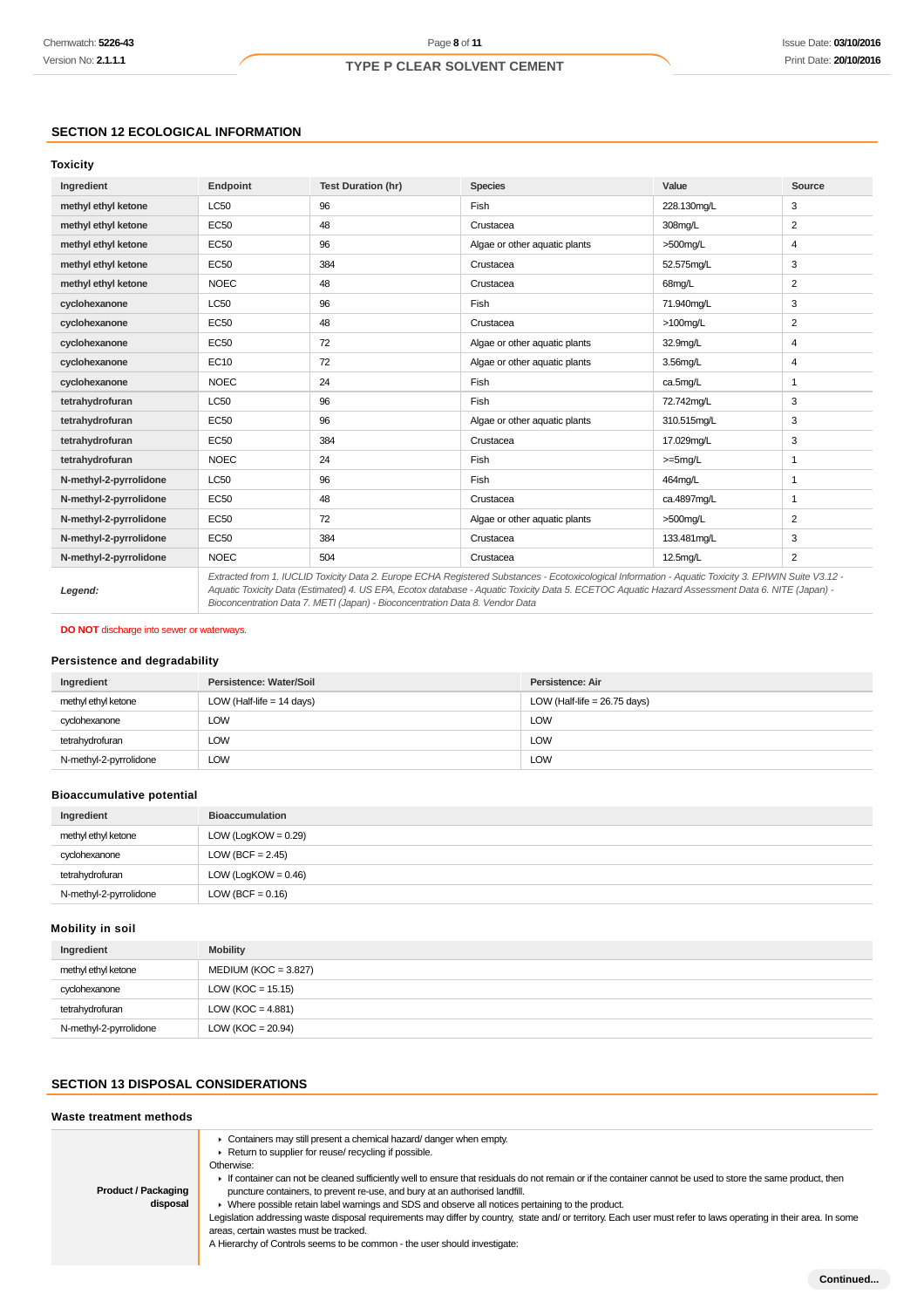### **SECTION 12 ECOLOGICAL INFORMATION**

### **Toxicity**

| Ingredient             | Endpoint    | <b>Test Duration (hr)</b> | <b>Species</b>                                                                                                                                                                                                                                                                                           | Value       | Source         |
|------------------------|-------------|---------------------------|----------------------------------------------------------------------------------------------------------------------------------------------------------------------------------------------------------------------------------------------------------------------------------------------------------|-------------|----------------|
| methyl ethyl ketone    | <b>LC50</b> | 96                        | Fish                                                                                                                                                                                                                                                                                                     | 228.130mg/L | 3              |
| methyl ethyl ketone    | <b>EC50</b> | 48                        | Crustacea                                                                                                                                                                                                                                                                                                | 308mg/L     | 2              |
| methyl ethyl ketone    | EC50        | 96                        | Algae or other aquatic plants                                                                                                                                                                                                                                                                            | $>500$ mg/L | 4              |
| methyl ethyl ketone    | <b>EC50</b> | 384                       | Crustacea                                                                                                                                                                                                                                                                                                | 52.575mg/L  | 3              |
| methyl ethyl ketone    | <b>NOEC</b> | 48                        | Crustacea                                                                                                                                                                                                                                                                                                | 68mg/L      | 2              |
| cyclohexanone          | <b>LC50</b> | 96                        | Fish                                                                                                                                                                                                                                                                                                     | 71.940mg/L  | 3              |
| cyclohexanone          | <b>EC50</b> | 48                        | Crustacea                                                                                                                                                                                                                                                                                                | $>100$ mg/L | 2              |
| cyclohexanone          | <b>EC50</b> | 72                        | Algae or other aquatic plants                                                                                                                                                                                                                                                                            | 32.9mg/L    | 4              |
| cyclohexanone          | <b>EC10</b> | 72                        | Algae or other aquatic plants                                                                                                                                                                                                                                                                            | 3.56mg/L    | 4              |
| cyclohexanone          | <b>NOEC</b> | 24                        | Fish                                                                                                                                                                                                                                                                                                     | ca.5mg/L    | $\mathbf{1}$   |
| tetrahydrofuran        | <b>LC50</b> | 96                        | Fish                                                                                                                                                                                                                                                                                                     | 72.742mq/L  | 3              |
| tetrahydrofuran        | EC50        | 96                        | Algae or other aquatic plants                                                                                                                                                                                                                                                                            | 310.515mg/L | 3              |
| tetrahydrofuran        | <b>EC50</b> | 384                       | Crustacea                                                                                                                                                                                                                                                                                                | 17.029mg/L  | 3              |
| tetrahydrofuran        | <b>NOEC</b> | 24                        | Fish                                                                                                                                                                                                                                                                                                     | $>=5mg/L$   | 1              |
| N-methyl-2-pyrrolidone | <b>LC50</b> | 96                        | Fish                                                                                                                                                                                                                                                                                                     | 464mg/L     | $\mathbf{1}$   |
| N-methyl-2-pyrrolidone | EC50        | 48                        | Crustacea                                                                                                                                                                                                                                                                                                | ca.4897mq/L | $\mathbf{1}$   |
| N-methyl-2-pyrrolidone | <b>EC50</b> | 72                        | Algae or other aquatic plants                                                                                                                                                                                                                                                                            | $>500$ mg/L | 2              |
| N-methyl-2-pyrrolidone | <b>EC50</b> | 384                       | Crustacea                                                                                                                                                                                                                                                                                                | 133.481mg/L | 3              |
| N-methyl-2-pyrrolidone | <b>NOEC</b> | 504                       | Crustacea                                                                                                                                                                                                                                                                                                | $12.5$ mg/L | $\overline{2}$ |
| Legend:                |             |                           | Extracted from 1. IUCLID Toxicity Data 2. Europe ECHA Registered Substances - Ecotoxicological Information - Aquatic Toxicity 3. EPIWIN Suite V3.12 -<br>Aquatic Toxicity Data (Estimated) 4. US EPA, Ecotox database - Aquatic Toxicity Data 5. ECETOC Aquatic Hazard Assessment Data 6. NITE (Japan) - |             |                |

Bioconcentration Data 7. METI (Japan) - Bioconcentration Data 8. Vendor Data

**DO NOT** discharge into sewer or waterways.

### **Persistence and degradability**

| Ingredient             | Persistence: Water/Soil     | Persistence: Air               |
|------------------------|-----------------------------|--------------------------------|
| methyl ethyl ketone    | LOW (Half-life $= 14$ days) | LOW (Half-life = $26.75$ days) |
| cyclohexanone          | LOW                         | <b>LOW</b>                     |
| tetrahydrofuran        | LOW                         | <b>LOW</b>                     |
| N-methyl-2-pyrrolidone | LOW                         | <b>LOW</b>                     |

### **Bioaccumulative potential**

| Ingredient             | <b>Bioaccumulation</b> |
|------------------------|------------------------|
| methyl ethyl ketone    | $LOW (LogKOW = 0.29)$  |
| cyclohexanone          | LOW (BCF = $2.45$ )    |
| tetrahydrofuran        | $LOW (LogKOW = 0.46)$  |
| N-methyl-2-pyrrolidone | LOW (BCF = $0.16$ )    |

#### **Mobility in soil**

| Ingredient             | <b>Mobility</b>        |
|------------------------|------------------------|
| methyl ethyl ketone    | $MEDIUM (KOC = 3.827)$ |
| cyclohexanone          | LOW ( $KOC = 15.15$ )  |
| tetrahydrofuran        | LOW ( $KOC = 4.881$ )  |
| N-methyl-2-pyrrolidone | LOW (KOC = $20.94$ )   |

## **SECTION 13 DISPOSAL CONSIDERATIONS**

| Waste treatment methods                |                                                                                                                                                                                                                                                                                                                                                                                                                                                                                                                                                                                                                                                                                                                                                                                     |  |
|----------------------------------------|-------------------------------------------------------------------------------------------------------------------------------------------------------------------------------------------------------------------------------------------------------------------------------------------------------------------------------------------------------------------------------------------------------------------------------------------------------------------------------------------------------------------------------------------------------------------------------------------------------------------------------------------------------------------------------------------------------------------------------------------------------------------------------------|--|
| <b>Product / Packaging</b><br>disposal | Containers may still present a chemical hazard/ danger when empty.<br>Return to supplier for reuse/ recycling if possible.<br>Otherwise:<br>If container can not be cleaned sufficiently well to ensure that residuals do not remain or if the container cannot be used to store the same product, then<br>puncture containers, to prevent re-use, and bury at an authorised landfill.<br>Where possible retain label warnings and SDS and observe all notices pertaining to the product.<br>Legislation addressing waste disposal requirements may differ by country, state and/or territory. Each user must refer to laws operating in their area. In some<br>areas, certain wastes must be tracked.<br>A Hierarchy of Controls seems to be common - the user should investigate: |  |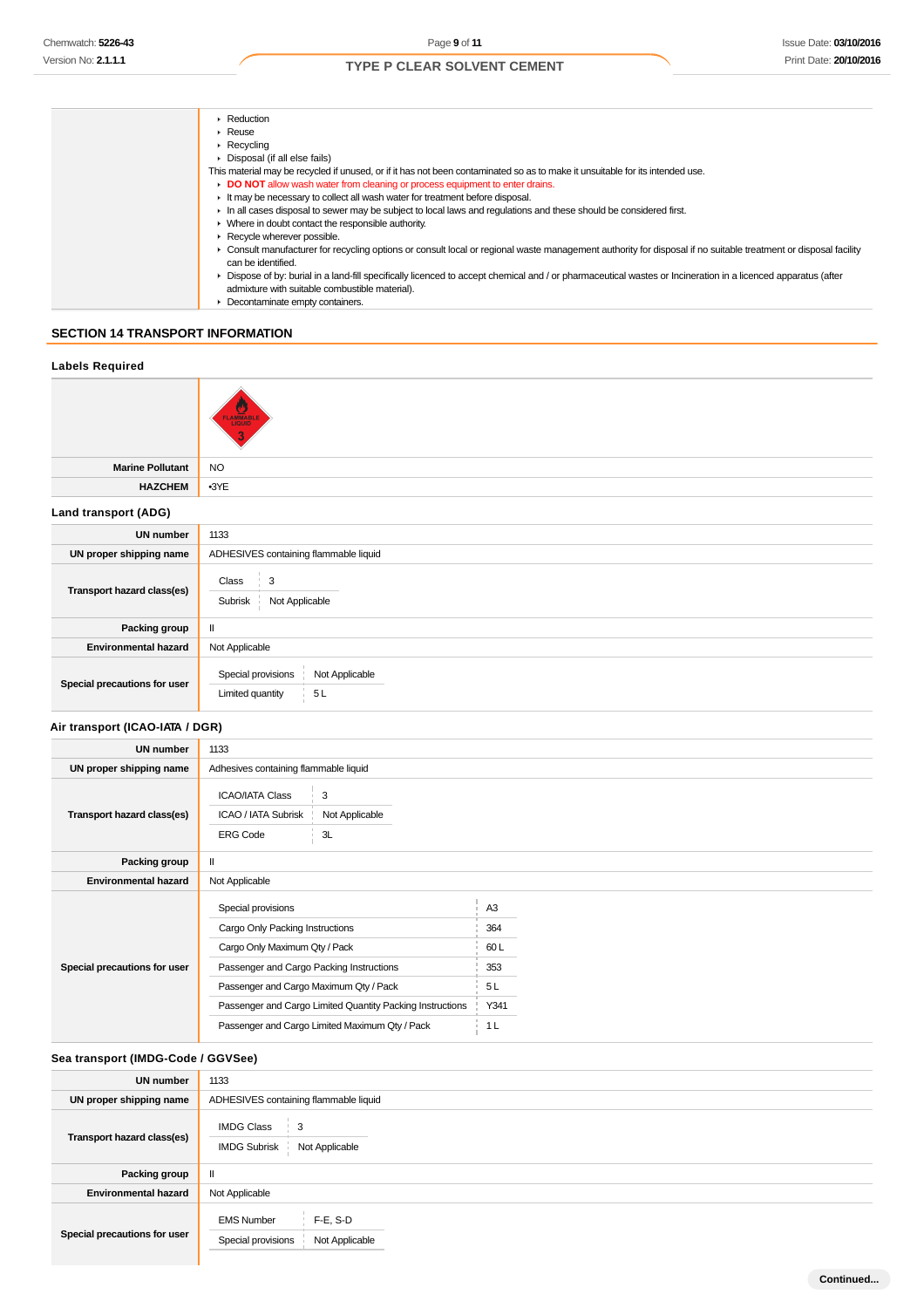| $\triangleright$ Reduction                                                                                                                                                            |
|---------------------------------------------------------------------------------------------------------------------------------------------------------------------------------------|
| $\triangleright$ Reuse                                                                                                                                                                |
| $\blacktriangleright$ Recycling                                                                                                                                                       |
| $\triangleright$ Disposal (if all else fails)                                                                                                                                         |
| This material may be recycled if unused, or if it has not been contaminated so as to make it unsuitable for its intended use.                                                         |
| DO NOT allow wash water from cleaning or process equipment to enter drains.                                                                                                           |
| It may be necessary to collect all wash water for treatment before disposal.                                                                                                          |
| In all cases disposal to sewer may be subject to local laws and regulations and these should be considered first.                                                                     |
| • Where in doubt contact the responsible authority.                                                                                                                                   |
| $\triangleright$ Recycle wherever possible.                                                                                                                                           |
| • Consult manufacturer for recycling options or consult local or regional waste management authority for disposal if no suitable treatment or disposal facility<br>can be identified. |
| • Dispose of by: burial in a land-fill specifically licenced to accept chemical and / or pharmaceutical wastes or Incineration in a licenced apparatus (after                         |
| admixture with suitable combustible material).                                                                                                                                        |
| Decontaminate empty containers.                                                                                                                                                       |

### **SECTION 14 TRANSPORT INFORMATION**

| <b>Labels Required</b>       |                                                                |
|------------------------------|----------------------------------------------------------------|
|                              | <b>FLAMMABLE</b>                                               |
| <b>Marine Pollutant</b>      | <b>NO</b>                                                      |
| <b>HAZCHEM</b>               | $-3YE$                                                         |
| Land transport (ADG)         |                                                                |
| <b>UN number</b>             | 1133                                                           |
| UN proper shipping name      | ADHESIVES containing flammable liquid                          |
| Transport hazard class(es)   | 3<br>Class<br>Not Applicable<br>Subrisk                        |
| Packing group                | $\mathbf{II}$                                                  |
| <b>Environmental hazard</b>  | Not Applicable                                                 |
| Special precautions for user | Special provisions<br>Not Applicable<br>Limited quantity<br>5L |

### **Air transport (ICAO-IATA / DGR)**

| <b>UN number</b>             | 1133                                                                                                                                                                                                                                                                                        |                                                                      |
|------------------------------|---------------------------------------------------------------------------------------------------------------------------------------------------------------------------------------------------------------------------------------------------------------------------------------------|----------------------------------------------------------------------|
| UN proper shipping name      | Adhesives containing flammable liquid                                                                                                                                                                                                                                                       |                                                                      |
| Transport hazard class(es)   | <b>ICAO/IATA Class</b><br>3<br>ICAO / IATA Subrisk<br>Not Applicable<br>3L<br><b>ERG Code</b>                                                                                                                                                                                               |                                                                      |
| Packing group                |                                                                                                                                                                                                                                                                                             |                                                                      |
| <b>Environmental hazard</b>  | Not Applicable                                                                                                                                                                                                                                                                              |                                                                      |
| Special precautions for user | Special provisions<br>Cargo Only Packing Instructions<br>Cargo Only Maximum Qty / Pack<br>Passenger and Cargo Packing Instructions<br>Passenger and Cargo Maximum Qty / Pack<br>Passenger and Cargo Limited Quantity Packing Instructions<br>Passenger and Cargo Limited Maximum Qty / Pack | A <sub>3</sub><br>364<br>60 L<br>353<br>5L<br>Y341<br>1 <sub>L</sub> |

### **Sea transport (IMDG-Code / GGVSee)**

| <b>UN number</b>             | 1133                                                                          |
|------------------------------|-------------------------------------------------------------------------------|
| UN proper shipping name      | ADHESIVES containing flammable liquid                                         |
| Transport hazard class(es)   | <b>IMDG Class</b><br>$\frac{1}{2}$ 3<br>Not Applicable<br><b>IMDG Subrisk</b> |
| Packing group                |                                                                               |
| <b>Environmental hazard</b>  | Not Applicable                                                                |
| Special precautions for user | $F-E$ , S-D<br><b>EMS Number</b><br>Special provisions<br>Not Applicable      |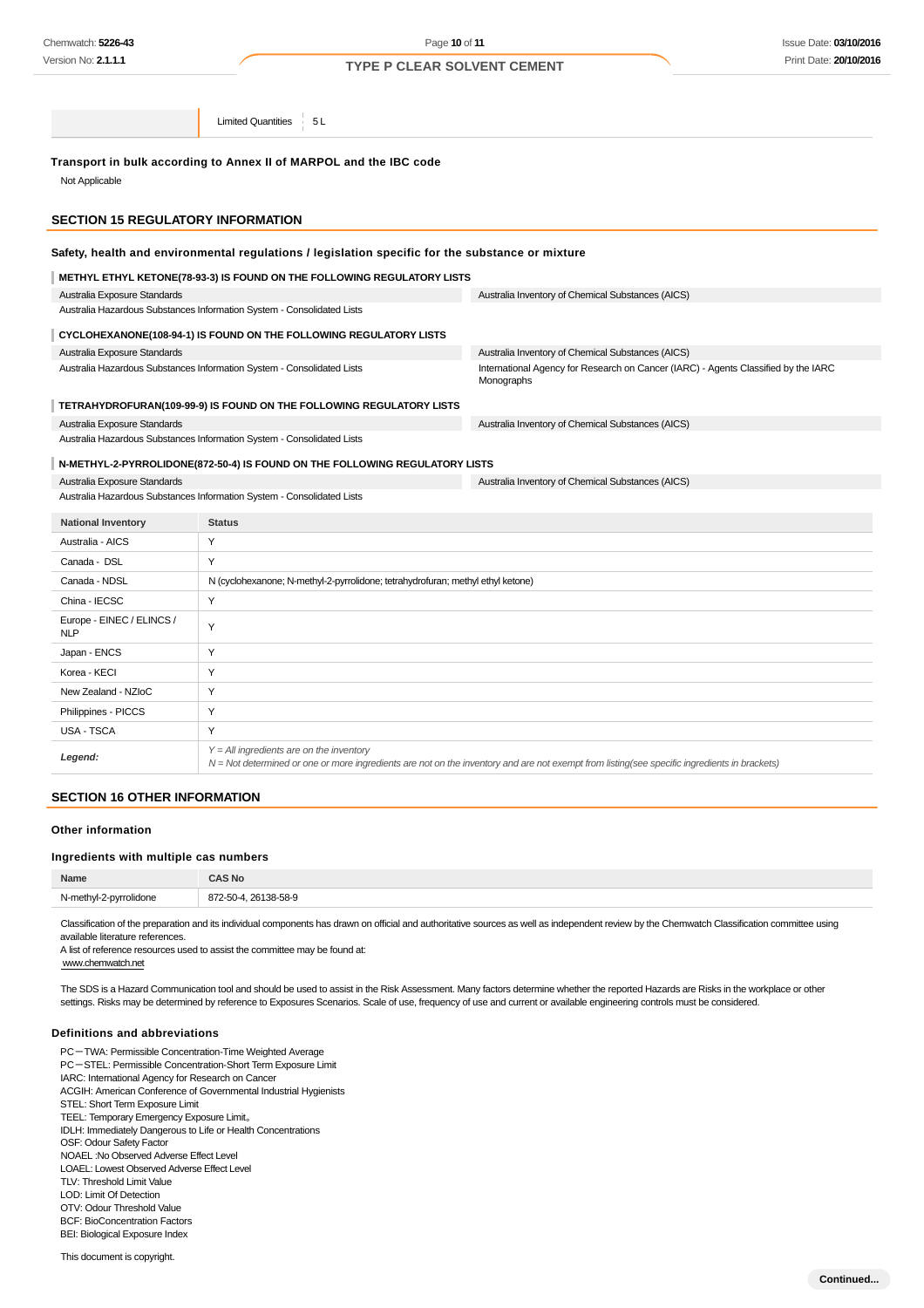Limited Quantities 5L

### **Transport in bulk according to Annex II of MARPOL and the IBC code**

Not Applicable

### **SECTION 15 REGULATORY INFORMATION**

#### **Safety, health and environmental regulations / legislation specific for the substance or mixture**

| METHYL ETHYL KETONE(78-93-3) IS FOUND ON THE FOLLOWING REGULATORY LISTS     |                                                                                                  |
|-----------------------------------------------------------------------------|--------------------------------------------------------------------------------------------------|
| Australia Exposure Standards                                                | Australia Inventory of Chemical Substances (AICS)                                                |
| Australia Hazardous Substances Information System - Consolidated Lists      |                                                                                                  |
| CYCLOHEXANONE(108-94-1) IS FOUND ON THE FOLLOWING REGULATORY LISTS          |                                                                                                  |
| Australia Exposure Standards                                                | Australia Inventory of Chemical Substances (AICS)                                                |
| Australia Hazardous Substances Information System - Consolidated Lists      | International Agency for Research on Cancer (IARC) - Agents Classified by the IARC<br>Monographs |
| TETRAHYDROFURAN(109-99-9) IS FOUND ON THE FOLLOWING REGULATORY LISTS        |                                                                                                  |
| Australia Exposure Standards                                                | Australia Inventory of Chemical Substances (AICS)                                                |
| Australia Hazardous Substances Information System - Consolidated Lists      |                                                                                                  |
| N-METHYL-2-PYRROLIDONE(872-50-4) IS FOUND ON THE FOLLOWING REGULATORY LISTS |                                                                                                  |
| Australia Exposure Standards                                                | Australia Inventory of Chemical Substances (AICS)                                                |

Australia Hazardous Substances Information System - Consolidated Lists

| <b>National Inventory</b>               | <b>Status</b>                                                                                                                                                                              |
|-----------------------------------------|--------------------------------------------------------------------------------------------------------------------------------------------------------------------------------------------|
| Australia - AICS                        | Y                                                                                                                                                                                          |
| Canada - DSL                            | Y                                                                                                                                                                                          |
| Canada - NDSL                           | N (cyclohexanone; N-methyl-2-pyrrolidone; tetrahydrofuran; methyl ethyl ketone)                                                                                                            |
| China - IECSC                           | Y                                                                                                                                                                                          |
| Europe - EINEC / ELINCS /<br><b>NLP</b> | Y                                                                                                                                                                                          |
| Japan - ENCS                            | Y                                                                                                                                                                                          |
| Korea - KECI                            | Y                                                                                                                                                                                          |
| New Zealand - NZIoC                     | Y                                                                                                                                                                                          |
| Philippines - PICCS                     | Y                                                                                                                                                                                          |
| USA - TSCA                              | Y                                                                                                                                                                                          |
| Legend:                                 | $Y = All$ ingredients are on the inventory<br>N = Not determined or one or more ingredients are not on the inventory and are not exempt from listing(see specific ingredients in brackets) |

#### **SECTION 16 OTHER INFORMATION**

#### **Other information**

#### **Ingredients with multiple cas numbers**

| Name                   | AS No                |
|------------------------|----------------------|
| N-methyl-2-pyrrolidone | 872-50-4, 26138-58-9 |
|                        |                      |

Classification of the preparation and its individual components has drawn on official and authoritative sources as well as independent review by the Chemwatch Classification committee using available literature references.

A list of reference resources used to assist the committee may be found at:

www.chemwatch.net

The SDS is a Hazard Communication tool and should be used to assist in the Risk Assessment. Many factors determine whether the reported Hazards are Risks in the workplace or other settings. Risks may be determined by reference to Exposures Scenarios. Scale of use, frequency of use and current or available engineering controls must be considered.

#### **Definitions and abbreviations**

PC-TWA: Permissible Concentration-Time Weighted Average PC-STEL: Permissible Concentration-Short Term Exposure Limit IARC: International Agency for Research on Cancer ACGIH: American Conference of Governmental Industrial Hygienists STEL: Short Term Exposure Limit TEEL: Temporary Emergency Exposure Limit。 IDLH: Immediately Dangerous to Life or Health Concentrations OSF: Odour Safety Factor NOAEL :No Observed Adverse Effect Level LOAEL: Lowest Observed Adverse Effect Level TLV: Threshold Limit Value LOD: Limit Of Detection OTV: Odour Threshold Value BCF: BioConcentration Factors BEI: Biological Exposure Index

This document is copyright.